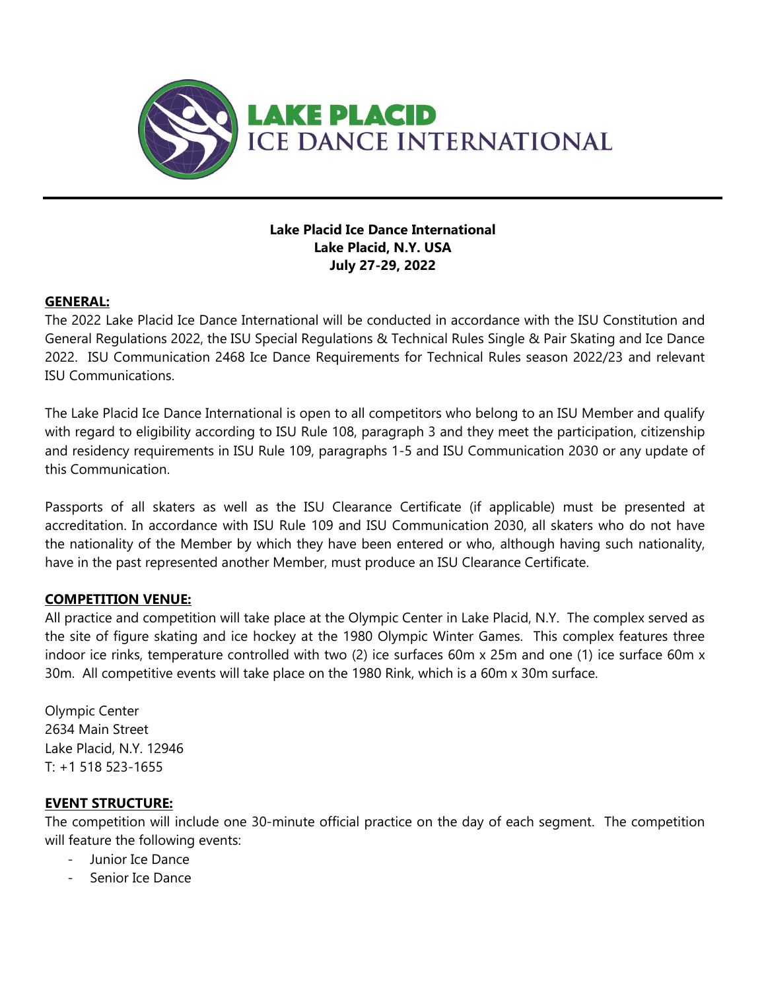

### **Lake Placid Ice Dance International Lake Placid, N.Y. USA July 27-29, 2022**

## **GENERAL:**

The 2022 Lake Placid Ice Dance International will be conducted in accordance with the ISU Constitution and General Regulations 2022, the ISU Special Regulations & Technical Rules Single & Pair Skating and Ice Dance 2022. ISU Communication 2468 Ice Dance Requirements for Technical Rules season 2022/23 and relevant ISU Communications.

The Lake Placid Ice Dance International is open to all competitors who belong to an ISU Member and qualify with regard to eligibility according to ISU Rule 108, paragraph 3 and they meet the participation, citizenship and residency requirements in ISU Rule 109, paragraphs 1-5 and ISU Communication 2030 or any update of this Communication.

Passports of all skaters as well as the ISU Clearance Certificate (if applicable) must be presented at accreditation. In accordance with ISU Rule 109 and ISU Communication 2030, all skaters who do not have the nationality of the Member by which they have been entered or who, although having such nationality, have in the past represented another Member, must produce an ISU Clearance Certificate.

## **COMPETITION VENUE:**

All practice and competition will take place at the Olympic Center in Lake Placid, N.Y. The complex served as the site of figure skating and ice hockey at the 1980 Olympic Winter Games. This complex features three indoor ice rinks, temperature controlled with two (2) ice surfaces 60m x 25m and one (1) ice surface 60m x 30m. All competitive events will take place on the 1980 Rink, which is a 60m x 30m surface.

Olympic Center 2634 Main Street Lake Placid, N.Y. 12946 T: +1 518 523-1655

## **EVENT STRUCTURE:**

The competition will include one 30-minute official practice on the day of each segment. The competition will feature the following events:

- Junior Ice Dance
- Senior Ice Dance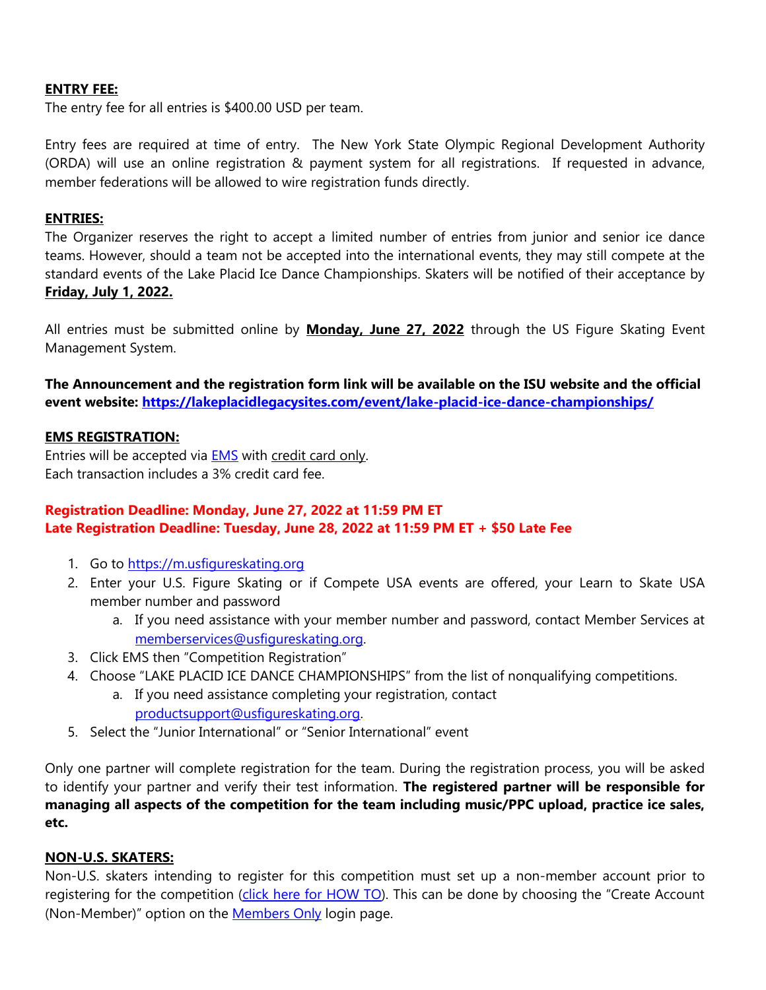### **ENTRY FEE:**

The entry fee for all entries is \$400.00 USD per team.

Entry fees are required at time of entry. The New York State Olympic Regional Development Authority (ORDA) will use an online registration & payment system for all registrations. If requested in advance, member federations will be allowed to wire registration funds directly.

#### **ENTRIES:**

The Organizer reserves the right to accept a limited number of entries from junior and senior ice dance teams. However, should a team not be accepted into the international events, they may still compete at the standard events of the Lake Placid Ice Dance Championships. Skaters will be notified of their acceptance by **Friday, July 1, 2022.**

All entries must be submitted online by **Monday, June 27, 2022** through the US Figure Skating Event Management System.

**The Announcement and the registration form link will be available on the ISU website and the official event website: [https://lakeplacidlegacysites.com/event/lake-placid-ice-dance-championships/](https://nam10.safelinks.protection.outlook.com/?url=https%3A%2F%2Flakeplacidlegacysites.com%2Fevent%2Flake-placid-ice-dance-championships%2F&data=04%7C01%7Cmarye%40orda.org%7C9ccc333f732944b2c31e08da084734c3%7C4b5b4fe743134775a7dac98b8418568f%7C1%7C0%7C637831399176059180%7CUnknown%7CTWFpbGZsb3d8eyJWIjoiMC4wLjAwMDAiLCJQIjoiV2luMzIiLCJBTiI6Ik1haWwiLCJXVCI6Mn0%3D%7C3000&sdata=bbTg4RGokvzF3z7d7zy7AGUdeoiNMbTC63kyd7Xe0IM%3D&reserved=0)**

#### **EMS REGISTRATION:**

Entries will be accepted via [EMS](https://m.usfigureskating.org/competition-registration/) with credit card only. Each transaction includes a 3% credit card fee.

## **Registration Deadline: Monday, June 27, 2022 at 11:59 PM ET Late Registration Deadline: Tuesday, June 28, 2022 at 11:59 PM ET + \$50 Late Fee**

- 1. Go to [https://m.usfigureskating.org](https://m.usfigureskating.org/)
- 2. Enter your U.S. Figure Skating or if Compete USA events are offered, your Learn to Skate USA member number and password
	- a. If you need assistance with your member number and password, contact Member Services at [memberservices@usfigureskating.org.](mailto:memberservices@usfigureskating.org)
- 3. Click EMS then "Competition Registration"
- 4. Choose "LAKE PLACID ICE DANCE CHAMPIONSHIPS" from the list of nonqualifying competitions.
	- a. If you need assistance completing your registration, contact [productsupport@usfigureskating.org.](mailto:productsupport@usfigureskating.org)
- 5. Select the "Junior International" or "Senior International" event

Only one partner will complete registration for the team. During the registration process, you will be asked to identify your partner and verify their test information. **The registered partner will be responsible for managing all aspects of the competition for the team including music/PPC upload, practice ice sales, etc.**

#### **NON-U.S. SKATERS:**

Non-U.S. skaters intending to register for this competition must set up a non-member account prior to registering for the competition [\(click here for HOW TO\)](https://public.3.basecamp.com/p/GwrcZ9DuXrqkxKykKbYQxJGn). This can be done by choosing the "Create Account (Non-Member)" option on the **[Members Only](https://m.usfigureskating.org/account/login/)** login page.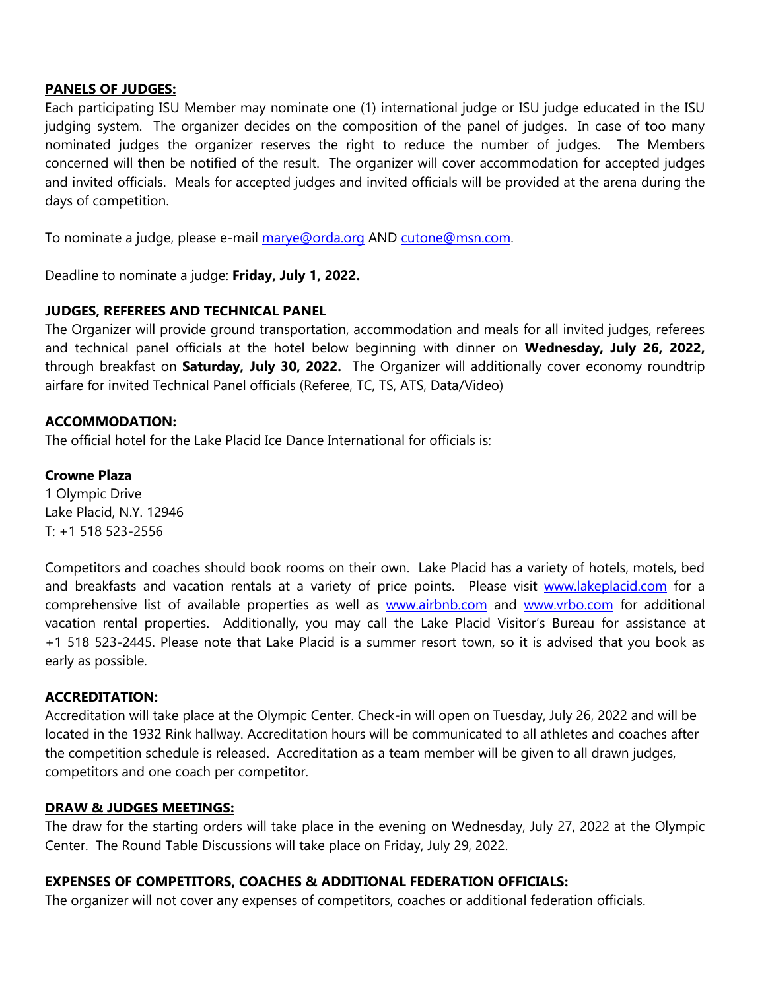#### **PANELS OF JUDGES:**

Each participating ISU Member may nominate one (1) international judge or ISU judge educated in the ISU judging system. The organizer decides on the composition of the panel of judges. In case of too many nominated judges the organizer reserves the right to reduce the number of judges. The Members concerned will then be notified of the result. The organizer will cover accommodation for accepted judges and invited officials. Meals for accepted judges and invited officials will be provided at the arena during the days of competition.

To nominate a judge, please e-mail [marye@orda.org](mailto:marye@orda.org) AND [cutone@msn.com.](mailto:cutone@msn.com)

Deadline to nominate a judge: **Friday, July 1, 2022.**

### **JUDGES, REFEREES AND TECHNICAL PANEL**

The Organizer will provide ground transportation, accommodation and meals for all invited judges, referees and technical panel officials at the hotel below beginning with dinner on **Wednesday, July 26, 2022,** through breakfast on **Saturday, July 30, 2022.** The Organizer will additionally cover economy roundtrip airfare for invited Technical Panel officials (Referee, TC, TS, ATS, Data/Video)

### **ACCOMMODATION:**

The official hotel for the Lake Placid Ice Dance International for officials is:

#### **Crowne Plaza**

1 Olympic Drive Lake Placid, N.Y. 12946 T: +1 518 523-2556

Competitors and coaches should book rooms on their own. Lake Placid has a variety of hotels, motels, bed and breakfasts and vacation rentals at a variety of price points. Please visit [www.lakeplacid.com](http://www.lakeplacid.com/) for a comprehensive list of available properties as well as [www.airbnb.com](http://www.airbnb.com/) and [www.vrbo.com](http://www.vrbo.com/) for additional vacation rental properties. Additionally, you may call the Lake Placid Visitor's Bureau for assistance at +1 518 523-2445. Please note that Lake Placid is a summer resort town, so it is advised that you book as early as possible.

#### **ACCREDITATION:**

Accreditation will take place at the Olympic Center. Check-in will open on Tuesday, July 26, 2022 and will be located in the 1932 Rink hallway. Accreditation hours will be communicated to all athletes and coaches after the competition schedule is released. Accreditation as a team member will be given to all drawn judges, competitors and one coach per competitor.

#### **DRAW & JUDGES MEETINGS:**

The draw for the starting orders will take place in the evening on Wednesday, July 27, 2022 at the Olympic Center. The Round Table Discussions will take place on Friday, July 29, 2022.

#### **EXPENSES OF COMPETITORS, COACHES & ADDITIONAL FEDERATION OFFICIALS:**

The organizer will not cover any expenses of competitors, coaches or additional federation officials.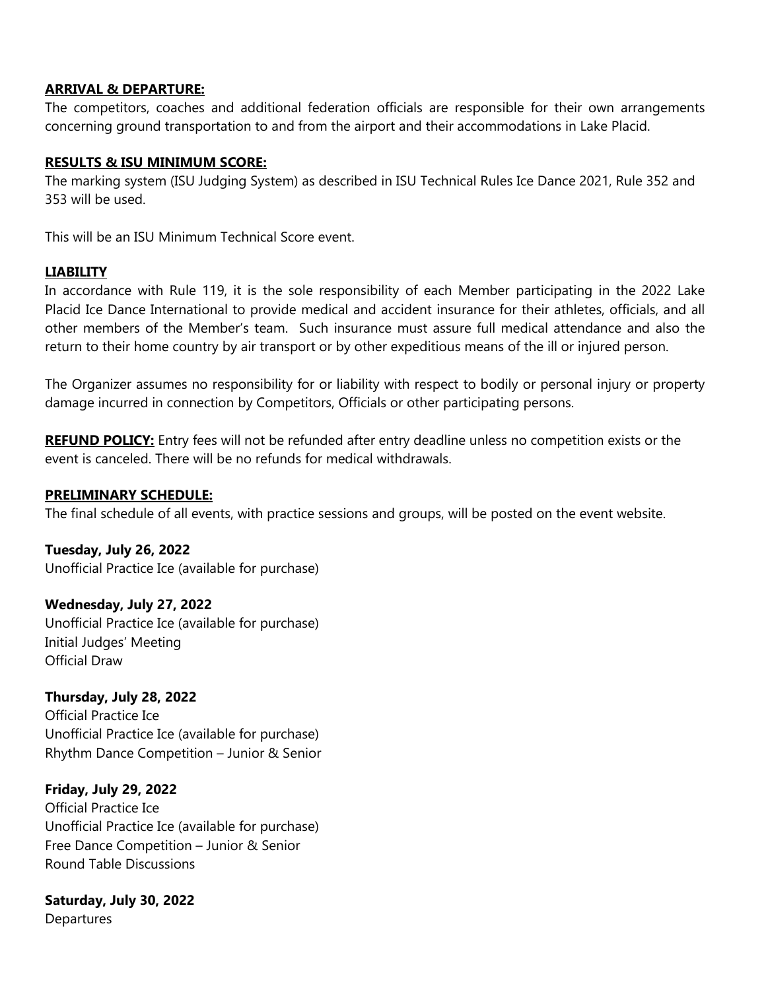#### **ARRIVAL & DEPARTURE:**

The competitors, coaches and additional federation officials are responsible for their own arrangements concerning ground transportation to and from the airport and their accommodations in Lake Placid.

### **RESULTS & ISU MINIMUM SCORE:**

The marking system (ISU Judging System) as described in ISU Technical Rules Ice Dance 2021, Rule 352 and 353 will be used.

This will be an ISU Minimum Technical Score event.

### **LIABILITY**

In accordance with Rule 119, it is the sole responsibility of each Member participating in the 2022 Lake Placid Ice Dance International to provide medical and accident insurance for their athletes, officials, and all other members of the Member's team. Such insurance must assure full medical attendance and also the return to their home country by air transport or by other expeditious means of the ill or injured person.

The Organizer assumes no responsibility for or liability with respect to bodily or personal injury or property damage incurred in connection by Competitors, Officials or other participating persons.

**REFUND POLICY:** Entry fees will not be refunded after entry deadline unless no competition exists or the event is canceled. There will be no refunds for medical withdrawals.

### **PRELIMINARY SCHEDULE:**

The final schedule of all events, with practice sessions and groups, will be posted on the event website.

**Tuesday, July 26, 2022** Unofficial Practice Ice (available for purchase)

**Wednesday, July 27, 2022** Unofficial Practice Ice (available for purchase) Initial Judges' Meeting Official Draw

**Thursday, July 28, 2022** Official Practice Ice Unofficial Practice Ice (available for purchase) Rhythm Dance Competition – Junior & Senior

**Friday, July 29, 2022** Official Practice Ice Unofficial Practice Ice (available for purchase) Free Dance Competition – Junior & Senior Round Table Discussions

**Saturday, July 30, 2022 Departures**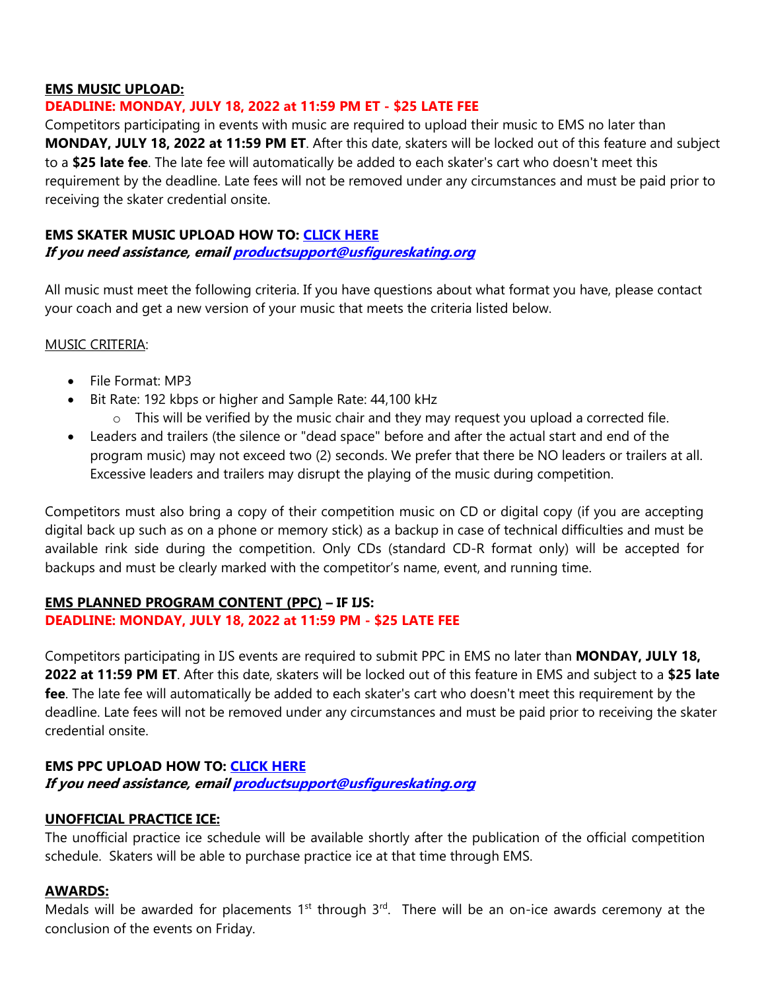### **EMS MUSIC UPLOAD:**

### **DEADLINE: MONDAY, JULY 18, 2022 at 11:59 PM ET - \$25 LATE FEE**

Competitors participating in events with music are required to upload their music to EMS no later than **MONDAY, JULY 18, 2022 at 11:59 PM ET**. After this date, skaters will be locked out of this feature and subject to a **\$25 late fee**. The late fee will automatically be added to each skater's cart who doesn't meet this requirement by the deadline. Late fees will not be removed under any circumstances and must be paid prior to receiving the skater credential onsite.

#### **EMS SKATER MUSIC UPLOAD HOW TO: [CLICK HERE](https://public.3.basecamp.com/p/ycj6D89r1GruJVv8oTSWXUqW)**

**If you need assistance, emai[l productsupport@usfigureskating.org](mailto:productsupport@usfigureskating.org)**

All music must meet the following criteria. If you have questions about what format you have, please contact your coach and get a new version of your music that meets the criteria listed below.

#### MUSIC CRITERIA:

- File Format: MP3
- Bit Rate: 192 kbps or higher and Sample Rate: 44,100 kHz
	- $\circ$  This will be verified by the music chair and they may request you upload a corrected file.
- Leaders and trailers (the silence or "dead space" before and after the actual start and end of the program music) may not exceed two (2) seconds. We prefer that there be NO leaders or trailers at all. Excessive leaders and trailers may disrupt the playing of the music during competition.

Competitors must also bring a copy of their competition music on CD or digital copy (if you are accepting digital back up such as on a phone or memory stick) as a backup in case of technical difficulties and must be available rink side during the competition. Only CDs (standard CD-R format only) will be accepted for backups and must be clearly marked with the competitor's name, event, and running time.

### **EMS PLANNED PROGRAM CONTENT (PPC) – IF IJS: DEADLINE: MONDAY, JULY 18, 2022 at 11:59 PM - \$25 LATE FEE**

Competitors participating in IJS events are required to submit PPC in EMS no later than **MONDAY, JULY 18, 2022 at 11:59 PM ET**. After this date, skaters will be locked out of this feature in EMS and subject to a **\$25 late fee**. The late fee will automatically be added to each skater's cart who doesn't meet this requirement by the deadline. Late fees will not be removed under any circumstances and must be paid prior to receiving the skater credential onsite.

## **EMS PPC UPLOAD HOW TO: [CLICK HERE](https://public.3.basecamp.com/p/bJNALQ6nPYrJUH2YKAjQ2tMB)**

**If you need assistance, emai[l productsupport@usfigureskating.org](mailto:productsupport@usfigureskating.org)**

## **UNOFFICIAL PRACTICE ICE:**

The unofficial practice ice schedule will be available shortly after the publication of the official competition schedule. Skaters will be able to purchase practice ice at that time through EMS.

## **AWARDS:**

Medals will be awarded for placements  $1<sup>st</sup>$  through  $3<sup>rd</sup>$ . There will be an on-ice awards ceremony at the conclusion of the events on Friday.